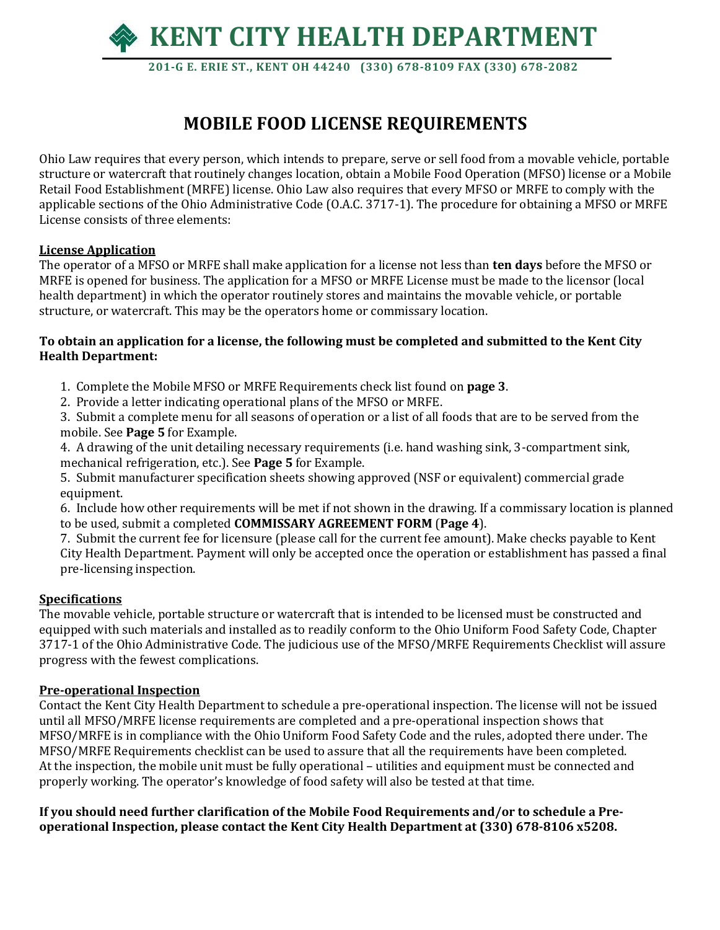

 **201-G E. ERIE ST., KENT OH 44240 (330) 678-8109 FAX (330) 678-2082**

## **MOBILE FOOD LICENSE REQUIREMENTS**

Ohio Law requires that every person, which intends to prepare, serve or sell food from a movable vehicle, portable structure or watercraft that routinely changes location, obtain a Mobile Food Operation (MFSO) license or a Mobile Retail Food Establishment (MRFE) license. Ohio Law also requires that every MFSO or MRFE to comply with the applicable sections of the Ohio Administrative Code (O.A.C. 3717-1). The procedure for obtaining a MFSO or MRFE License consists of three elements:

#### **License Application**

The operator of a MFSO or MRFE shall make application for a license not less than **ten days** before the MFSO or MRFE is opened for business. The application for a MFSO or MRFE License must be made to the licensor (local health department) in which the operator routinely stores and maintains the movable vehicle, or portable structure, or watercraft. This may be the operators home or commissary location.

#### **To obtain an application for a license, the following must be completed and submitted to the Kent City Health Department:**

- 1. Complete the Mobile MFSO or MRFE Requirements check list found on **page 3**.
- 2. Provide a letter indicating operational plans of the MFSO or MRFE.

3. Submit a complete menu for all seasons of operation or a list of all foods that are to be served from the mobile. See **Page 5** for Example.

4. A drawing of the unit detailing necessary requirements (i.e. hand washing sink, 3-compartment sink, mechanical refrigeration, etc.). See **Page 5** for Example.

5. Submit manufacturer specification sheets showing approved (NSF or equivalent) commercial grade equipment.

6. Include how other requirements will be met if not shown in the drawing. If a commissary location is planned to be used, submit a completed **COMMISSARY AGREEMENT FORM** (**Page 4**).

7. Submit the current fee for licensure (please call for the current fee amount). Make checks payable to Kent City Health Department. Payment will only be accepted once the operation or establishment has passed a final pre-licensing inspection.

#### **Specifications**

The movable vehicle, portable structure or watercraft that is intended to be licensed must be constructed and equipped with such materials and installed as to readily conform to the Ohio Uniform Food Safety Code, Chapter 3717-1 of the Ohio Administrative Code. The judicious use of the MFSO/MRFE Requirements Checklist will assure progress with the fewest complications.

#### **Pre-operational Inspection**

Contact the Kent City Health Department to schedule a pre-operational inspection. The license will not be issued until all MFSO/MRFE license requirements are completed and a pre-operational inspection shows that MFSO/MRFE is in compliance with the Ohio Uniform Food Safety Code and the rules, adopted there under. The MFSO/MRFE Requirements checklist can be used to assure that all the requirements have been completed. At the inspection, the mobile unit must be fully operational – utilities and equipment must be connected and properly working. The operator's knowledge of food safety will also be tested at that time.

**If you should need further clarification of the Mobile Food Requirements and/or to schedule a Preoperational Inspection, please contact the Kent City Health Department at (330) 678-8106 x5208.**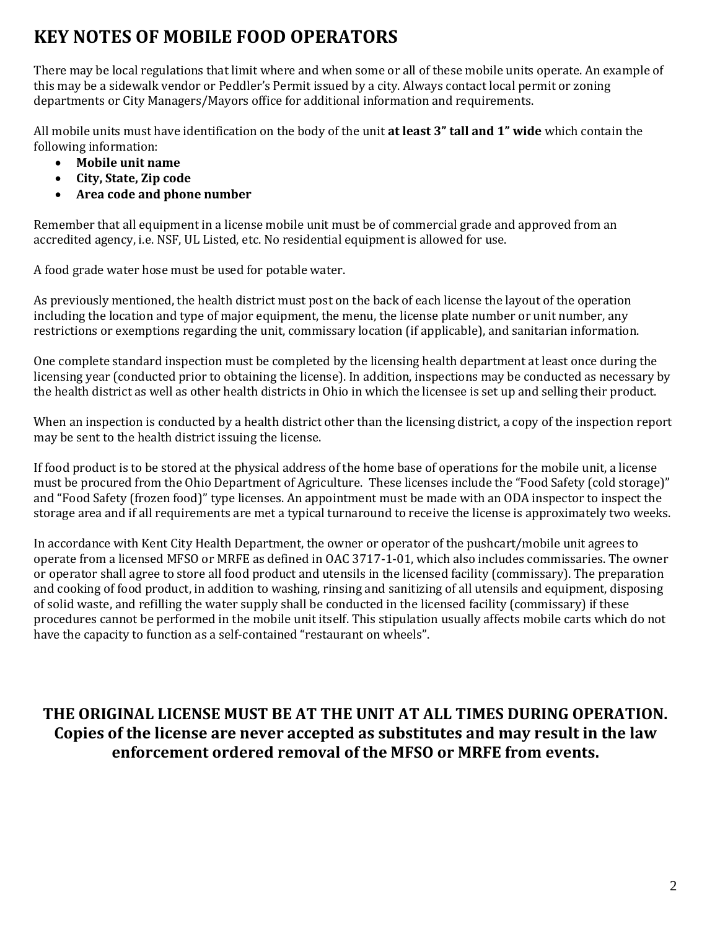# **KEY NOTES OF MOBILE FOOD OPERATORS**

There may be local regulations that limit where and when some or all of these mobile units operate. An example of this may be a sidewalk vendor or Peddler's Permit issued by a city. Always contact local permit or zoning departments or City Managers/Mayors office for additional information and requirements.

All mobile units must have identification on the body of the unit **at least 3" tall and 1" wide** which contain the following information:

- **Mobile unit name**
- **City, State, Zip code**
- **Area code and phone number**

Remember that all equipment in a license mobile unit must be of commercial grade and approved from an accredited agency, i.e. NSF, UL Listed, etc. No residential equipment is allowed for use.

A food grade water hose must be used for potable water.

As previously mentioned, the health district must post on the back of each license the layout of the operation including the location and type of major equipment, the menu, the license plate number or unit number, any restrictions or exemptions regarding the unit, commissary location (if applicable), and sanitarian information.

One complete standard inspection must be completed by the licensing health department at least once during the licensing year (conducted prior to obtaining the license). In addition, inspections may be conducted as necessary by the health district as well as other health districts in Ohio in which the licensee is set up and selling their product.

When an inspection is conducted by a health district other than the licensing district, a copy of the inspection report may be sent to the health district issuing the license.

If food product is to be stored at the physical address of the home base of operations for the mobile unit, a license must be procured from the Ohio Department of Agriculture. These licenses include the "Food Safety (cold storage)" and "Food Safety (frozen food)" type licenses. An appointment must be made with an ODA inspector to inspect the storage area and if all requirements are met a typical turnaround to receive the license is approximately two weeks.

In accordance with Kent City Health Department, the owner or operator of the pushcart/mobile unit agrees to operate from a licensed MFSO or MRFE as defined in OAC 3717-1-01, which also includes commissaries. The owner or operator shall agree to store all food product and utensils in the licensed facility (commissary). The preparation and cooking of food product, in addition to washing, rinsing and sanitizing of all utensils and equipment, disposing of solid waste, and refilling the water supply shall be conducted in the licensed facility (commissary) if these procedures cannot be performed in the mobile unit itself. This stipulation usually affects mobile carts which do not have the capacity to function as a self-contained "restaurant on wheels".

## **THE ORIGINAL LICENSE MUST BE AT THE UNIT AT ALL TIMES DURING OPERATION. Copies of the license are never accepted as substitutes and may result in the law enforcement ordered removal of the MFSO or MRFE from events.**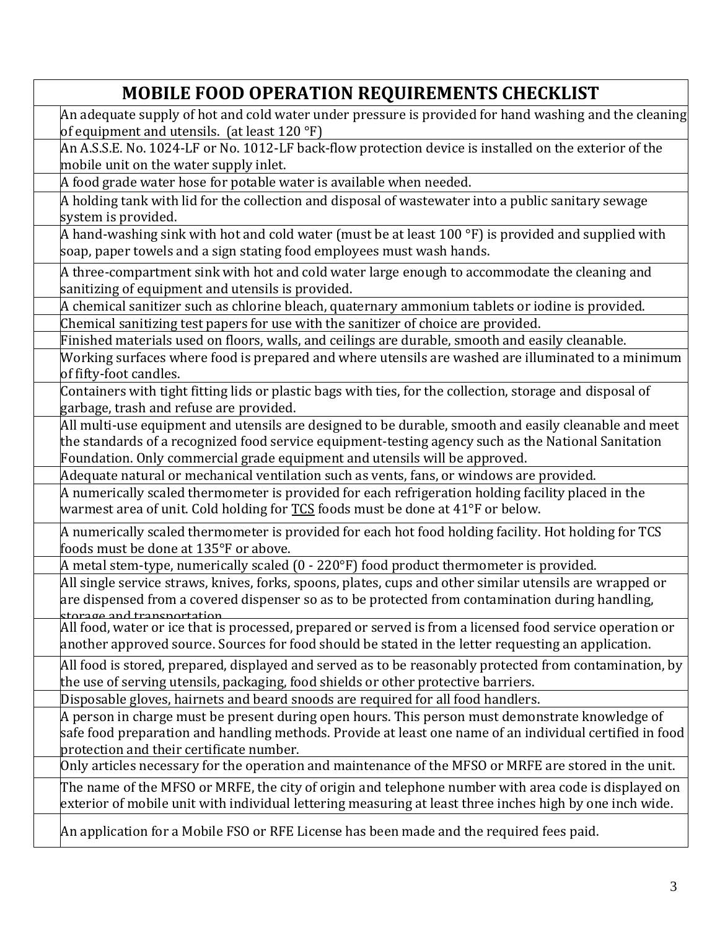# **MOBILE FOOD OPERATION REQUIREMENTS CHECKLIST**

An adequate supply of hot and cold water under pressure is provided for hand washing and the cleaning of equipment and utensils. (at least 120 °F)

An A.S.S.E. No. 1024-LF or No. 1012-LF back-flow protection device is installed on the exterior of the mobile unit on the water supply inlet.

A food grade water hose for potable water is available when needed.

A holding tank with lid for the collection and disposal of wastewater into a public sanitary sewage system is provided.

A hand-washing sink with hot and cold water (must be at least 100  $\degree$ F) is provided and supplied with soap, paper towels and a sign stating food employees must wash hands.

A three-compartment sink with hot and cold water large enough to accommodate the cleaning and sanitizing of equipment and utensils is provided.

A chemical sanitizer such as chlorine bleach, quaternary ammonium tablets or iodine is provided.

Chemical sanitizing test papers for use with the sanitizer of choice are provided. Finished materials used on floors, walls, and ceilings are durable, smooth and easily cleanable.

Working surfaces where food is prepared and where utensils are washed are illuminated to a minimum of fifty-foot candles.

Containers with tight fitting lids or plastic bags with ties, for the collection, storage and disposal of garbage, trash and refuse are provided.

All multi-use equipment and utensils are designed to be durable, smooth and easily cleanable and meet the standards of a recognized food service equipment-testing agency such as the National Sanitation Foundation. Only commercial grade equipment and utensils will be approved.

Adequate natural or mechanical ventilation such as vents, fans, or windows are provided.

A numerically scaled thermometer is provided for each refrigeration holding facility placed in the warmest area of unit. Cold holding for  $TCS$  foods must be done at 41°F or below.</u>

A numerically scaled thermometer is provided for each hot food holding facility. Hot holding for TCS foods must be done at 135°F or above.

A metal stem-type, numerically scaled (0 - 220°F) food product thermometer is provided.

All single service straws, knives, forks, spoons, plates, cups and other similar utensils are wrapped or are dispensed from a covered dispenser so as to be protected from contamination during handling, storage and transportation.

All food, water or ice that is processed, prepared or served is from a licensed food service operation or another approved source. Sources for food should be stated in the letter requesting an application.

All food is stored, prepared, displayed and served as to be reasonably protected from contamination, by the use of serving utensils, packaging, food shields or other protective barriers.

Disposable gloves, hairnets and beard snoods are required for all food handlers.

A person in charge must be present during open hours. This person must demonstrate knowledge of safe food preparation and handling methods. Provide at least one name of an individual certified in food protection and their certificate number.

Only articles necessary for the operation and maintenance of the MFSO or MRFE are stored in the unit.

The name of the MFSO or MRFE, the city of origin and telephone number with area code is displayed on exterior of mobile unit with individual lettering measuring at least three inches high by one inch wide.

An application for a Mobile FSO or RFE License has been made and the required fees paid.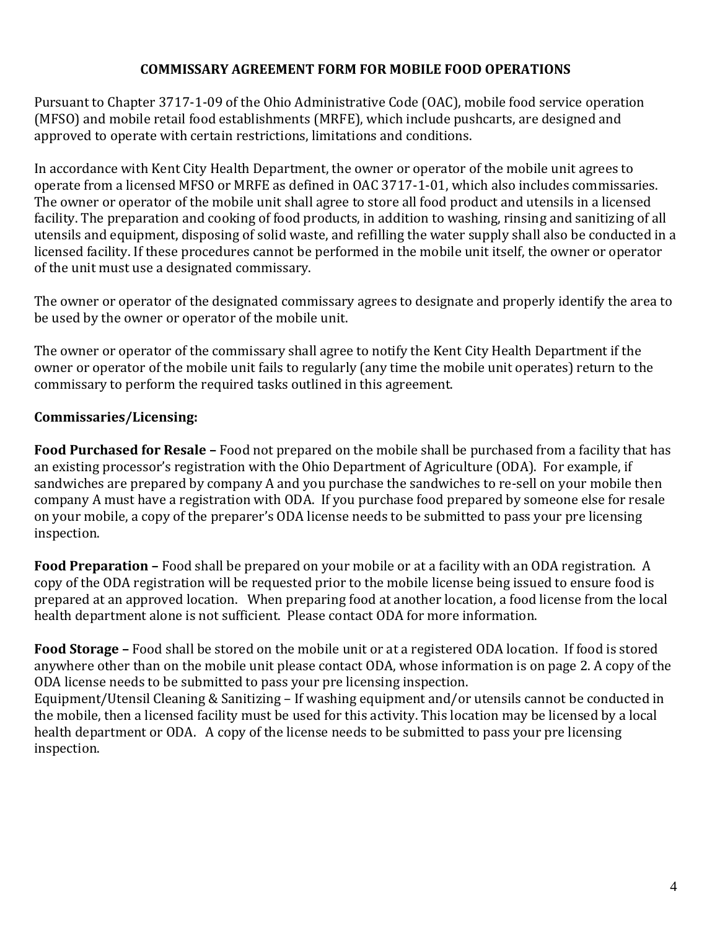#### **COMMISSARY AGREEMENT FORM FOR MOBILE FOOD OPERATIONS**

Pursuant to Chapter 3717-1-09 of the Ohio Administrative Code (OAC), mobile food service operation (MFSO) and mobile retail food establishments (MRFE), which include pushcarts, are designed and approved to operate with certain restrictions, limitations and conditions.

In accordance with Kent City Health Department, the owner or operator of the mobile unit agrees to operate from a licensed MFSO or MRFE as defined in OAC 3717-1-01, which also includes commissaries. The owner or operator of the mobile unit shall agree to store all food product and utensils in a licensed facility. The preparation and cooking of food products, in addition to washing, rinsing and sanitizing of all utensils and equipment, disposing of solid waste, and refilling the water supply shall also be conducted in a licensed facility. If these procedures cannot be performed in the mobile unit itself, the owner or operator of the unit must use a designated commissary.

The owner or operator of the designated commissary agrees to designate and properly identify the area to be used by the owner or operator of the mobile unit.

The owner or operator of the commissary shall agree to notify the Kent City Health Department if the owner or operator of the mobile unit fails to regularly (any time the mobile unit operates) return to the commissary to perform the required tasks outlined in this agreement.

### **Commissaries/Licensing:**

**Food Purchased for Resale –** Food not prepared on the mobile shall be purchased from a facility that has an existing processor's registration with the Ohio Department of Agriculture (ODA). For example, if sandwiches are prepared by company A and you purchase the sandwiches to re-sell on your mobile then company A must have a registration with ODA. If you purchase food prepared by someone else for resale on your mobile, a copy of the preparer's ODA license needs to be submitted to pass your pre licensing inspection.

**Food Preparation –** Food shall be prepared on your mobile or at a facility with an ODA registration. A copy of the ODA registration will be requested prior to the mobile license being issued to ensure food is prepared at an approved location. When preparing food at another location, a food license from the local health department alone is not sufficient. Please contact ODA for more information.

**Food Storage –** Food shall be stored on the mobile unit or at a registered ODA location. If food is stored anywhere other than on the mobile unit please contact ODA, whose information is on page 2. A copy of the ODA license needs to be submitted to pass your pre licensing inspection. Equipment/Utensil Cleaning & Sanitizing – If washing equipment and/or utensils cannot be conducted in the mobile, then a licensed facility must be used for this activity. This location may be licensed by a local health department or ODA. A copy of the license needs to be submitted to pass your pre licensing inspection.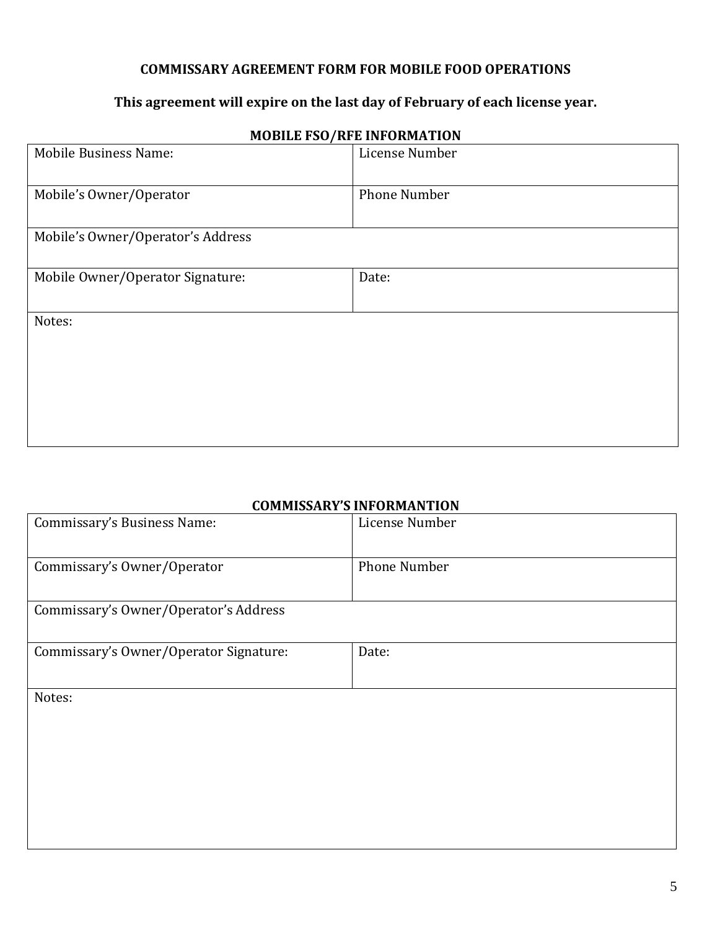#### **COMMISSARY AGREEMENT FORM FOR MOBILE FOOD OPERATIONS**

### **This agreement will expire on the last day of February of each license year.**

| <b>Mobile Business Name:</b>      | License Number      |
|-----------------------------------|---------------------|
| Mobile's Owner/Operator           | <b>Phone Number</b> |
| Mobile's Owner/Operator's Address |                     |
| Mobile Owner/Operator Signature:  | Date:               |
| Notes:                            |                     |
|                                   |                     |
|                                   |                     |

### **MOBILE FSO/RFE INFORMATION**

#### **COMMISSARY'S INFORMANTION**

| Commissary's Business Name:            | License Number      |
|----------------------------------------|---------------------|
| Commissary's Owner/Operator            | <b>Phone Number</b> |
| Commissary's Owner/Operator's Address  |                     |
| Commissary's Owner/Operator Signature: | Date:               |
| Notes:                                 |                     |
|                                        |                     |
|                                        |                     |
|                                        |                     |